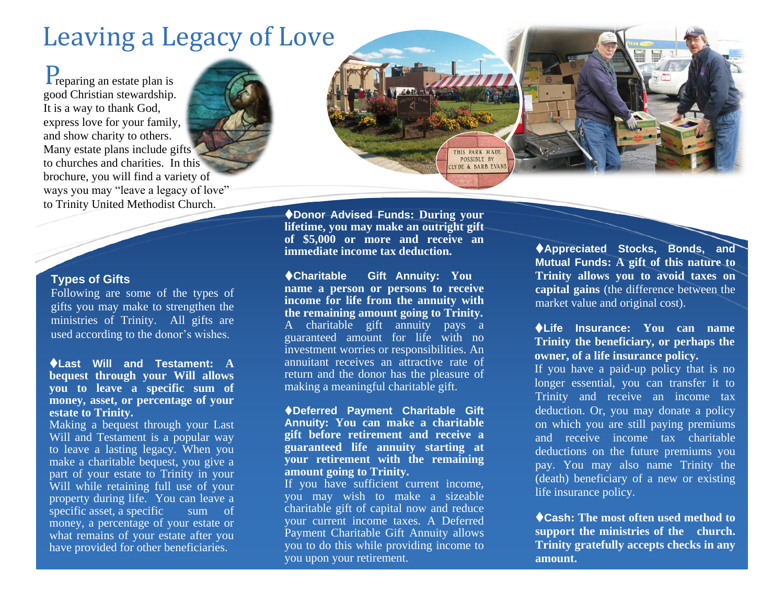## Leaving a Legacy of Love

Preparing an estate plan is good Christian stewardship. It is a way to thank God, express love for your family, and show charity to others. Many estate plans include gifts to churches and charities. In this brochure, you will find a variety of ways you may "leave a legacy of love" to Trinity United Methodist Church.



Following are some of the types of gifts you may make to strengthen the ministries of Trinity. All gifts are used according to the donor's wishes.

**Last Will and Testament: A bequest through your Will allows you to leave a specific sum of money, asset, or percentage of your estate to Trinity.**

Making a bequest through your Last Will and Testament is a popular way to leave a lasting legacy. When you make a charitable bequest, you give a part of your estate to Trinity in your Will while retaining full use of your property during life. You can leave a specific asset, a specific sum of money, a percentage of your estate or what remains of your estate after you have provided for other beneficiaries.

**Donor Advised Funds: During your lifetime, you may make an outright gift of \$5,000 or more and receive an immediate income tax deduction.**

THIS PARK MADE POSSIBLE BY LYDE & BARB EVANS

**Charitable Gift Annuity: You name a person or persons to receive income for life from the annuity with the remaining amount going to Trinity.** A charitable gift annuity pays a guaranteed amount for life with no investment worries or responsibilities. An annuitant receives an attractive rate of return and the donor has the pleasure of making a meaningful charitable gift.

**Deferred Payment Charitable Gift Annuity: You can make a charitable gift before retirement and receive a guaranteed life annuity starting at your retirement with the remaining amount going to Trinity.**

If you have sufficient current income, you may wish to make a sizeable charitable gift of capital now and reduce your current income taxes. A Deferred Payment Charitable Gift Annuity allows you to do this while providing income to you upon your retirement.

**Appreciated Stocks, Bonds, and Mutual Funds: A gift of this nature to Trinity allows you to avoid taxes on capital gains** (the difference between the market value and original cost).

**Life Insurance: You can name Trinity the beneficiary, or perhaps the owner, of a life insurance policy.**

If you have a paid-up policy that is no longer essential, you can transfer it to Trinity and receive an income tax deduction. Or, you may donate a policy on which you are still paying premiums and receive income tax charitable deductions on the future premiums you pay. You may also name Trinity the (death) beneficiary of a new or existing life insurance policy.

**Cash: The most often used method to support the ministries of the church. Trinity gratefully accepts checks in any amount.**